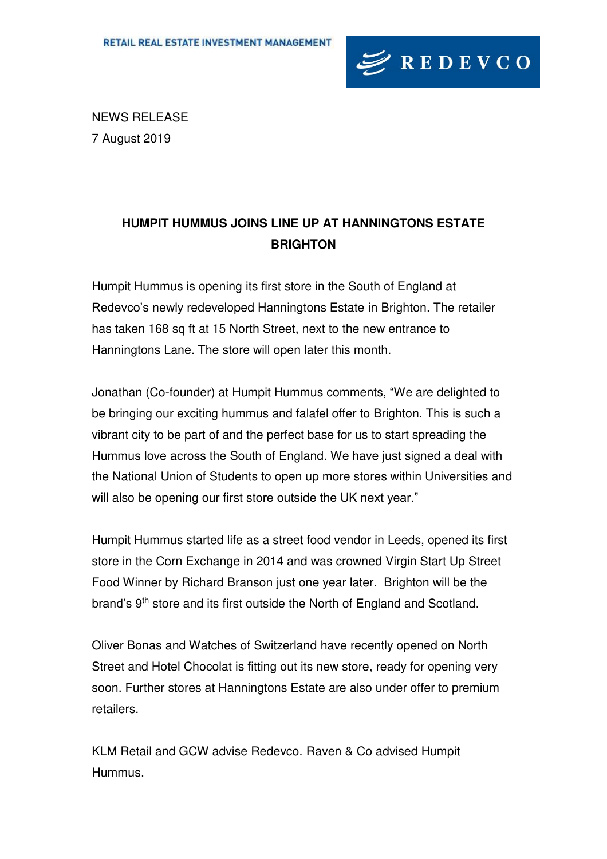

NEWS RELEASE 7 August 2019

## **HUMPIT HUMMUS JOINS LINE UP AT HANNINGTONS ESTATE BRIGHTON**

Humpit Hummus is opening its first store in the South of England at Redevco's newly redeveloped Hanningtons Estate in Brighton. The retailer has taken 168 sq ft at 15 North Street, next to the new entrance to Hanningtons Lane. The store will open later this month.

Jonathan (Co-founder) at Humpit Hummus comments, "We are delighted to be bringing our exciting hummus and falafel offer to Brighton. This is such a vibrant city to be part of and the perfect base for us to start spreading the Hummus love across the South of England. We have just signed a deal with the National Union of Students to open up more stores within Universities and will also be opening our first store outside the UK next year."

Humpit Hummus started life as a street food vendor in Leeds, opened its first store in the Corn Exchange in 2014 and was crowned Virgin Start Up Street Food Winner by Richard Branson just one year later. Brighton will be the brand's 9<sup>th</sup> store and its first outside the North of England and Scotland.

Oliver Bonas and Watches of Switzerland have recently opened on North Street and Hotel Chocolat is fitting out its new store, ready for opening very soon. Further stores at Hanningtons Estate are also under offer to premium retailers.

KLM Retail and GCW advise Redevco. Raven & Co advised Humpit Hummus.